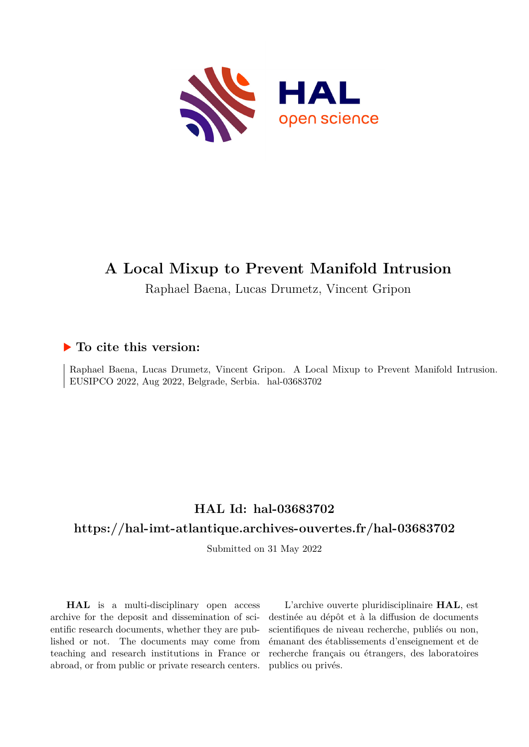

# **A Local Mixup to Prevent Manifold Intrusion**

Raphael Baena, Lucas Drumetz, Vincent Gripon

# **To cite this version:**

Raphael Baena, Lucas Drumetz, Vincent Gripon. A Local Mixup to Prevent Manifold Intrusion. EUSIPCO 2022, Aug 2022, Belgrade, Serbia. hal-03683702

# **HAL Id: hal-03683702**

# **<https://hal-imt-atlantique.archives-ouvertes.fr/hal-03683702>**

Submitted on 31 May 2022

**HAL** is a multi-disciplinary open access archive for the deposit and dissemination of scientific research documents, whether they are published or not. The documents may come from teaching and research institutions in France or abroad, or from public or private research centers.

L'archive ouverte pluridisciplinaire **HAL**, est destinée au dépôt et à la diffusion de documents scientifiques de niveau recherche, publiés ou non, émanant des établissements d'enseignement et de recherche français ou étrangers, des laboratoires publics ou privés.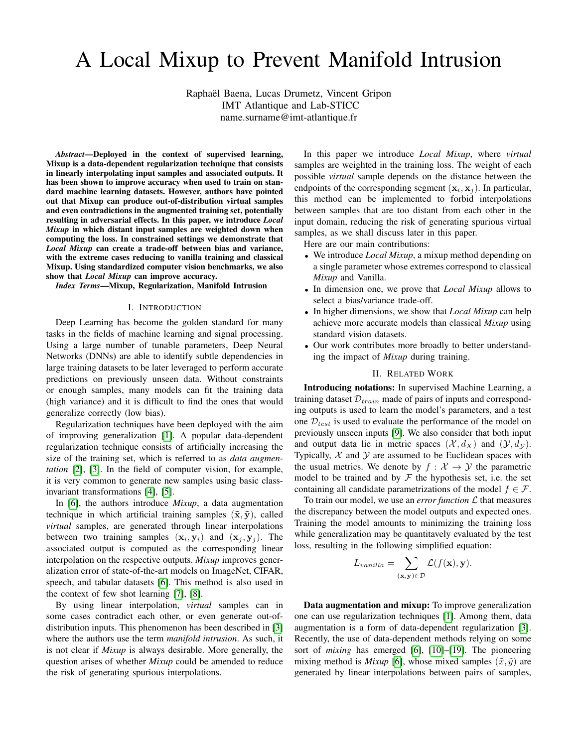# A Local Mixup to Prevent Manifold Intrusion

Raphael Baena, Lucas Drumetz, Vincent Gripon ¨ IMT Atlantique and Lab-STICC

name.surname@imt-atlantique.fr

*Abstract*—Deployed in the context of supervised learning, Mixup is a data-dependent regularization technique that consists in linearly interpolating input samples and associated outputs. It has been shown to improve accuracy when used to train on standard machine learning datasets. However, authors have pointed out that Mixup can produce out-of-distribution virtual samples and even contradictions in the augmented training set, potentially resulting in adversarial effects. In this paper, we introduce *Local Mixup* in which distant input samples are weighted down when computing the loss. In constrained settings we demonstrate that *Local Mixup* can create a trade-off between bias and variance, with the extreme cases reducing to vanilla training and classical Mixup. Using standardized computer vision benchmarks, we also show that *Local Mixup* can improve accuracy.

*Index Terms*—Mixup, Regularization, Manifold Intrusion

#### I. INTRODUCTION

Deep Learning has become the golden standard for many tasks in the fields of machine learning and signal processing. Using a large number of tunable parameters, Deep Neural Networks (DNNs) are able to identify subtle dependencies in large training datasets to be later leveraged to perform accurate predictions on previously unseen data. Without constraints or enough samples, many models can fit the training data (high variance) and it is difficult to find the ones that would generalize correctly (low bias).

Regularization techniques have been deployed with the aim of improving generalization [1]. A popular data-dependent regularization technique consists of artificially increasing the size of the training set, which is referred to as *data augmentation* [2], [3]. In the field of computer vision, for example, it is very common to generate new samples using basic classinvariant transformations [4], [5].

In [6], the authors introduce *Mixup*, a data augmentation technique in which artificial training samples  $(\tilde{\mathbf{x}}, \tilde{\mathbf{y}})$ , called *virtual* samples, are generated through linear interpolations between two training samples  $(\mathbf{x}_i, \mathbf{y}_i)$  and  $(\mathbf{x}_j, \mathbf{y}_j)$ . The associated output is computed as the corresponding linear interpolation on the respective outputs. *Mixup* improves generalization error of state-of-the-art models on ImageNet, CIFAR, speech, and tabular datasets [6]. This method is also used in the context of few shot learning [7], [8].

By using linear interpolation, *virtual* samples can in some cases contradict each other, or even generate out-ofdistribution inputs. This phenomenon has been described in [3] where the authors use the term *manifold intrusion*. As such, it is not clear if *Mixup* is always desirable. More generally, the question arises of whether *Mixup* could be amended to reduce the risk of generating spurious interpolations.

In this paper we introduce *Local Mixup*, where *virtual* samples are weighted in the training loss. The weight of each possible *virtual* sample depends on the distance between the endpoints of the corresponding segment  $(\mathbf{x}_i, \mathbf{x}_j)$ . In particular, this method can be implemented to forbid interpolations between samples that are too distant from each other in the input domain, reducing the risk of generating spurious virtual samples, as we shall discuss later in this paper.

Here are our main contributions:

- We introduce *Local Mixup*, a mixup method depending on a single parameter whose extremes correspond to classical *Mixup* and Vanilla.
- In dimension one, we prove that *Local Mixup* allows to select a bias/variance trade-off.
- In higher dimensions, we show that *Local Mixup* can help achieve more accurate models than classical *Mixup* using standard vision datasets.
- Our work contributes more broadly to better understanding the impact of *Mixup* during training.

## II. RELATED WORK

Introducing notations: In supervised Machine Learning, a training dataset  $\mathcal{D}_{train}$  made of pairs of inputs and corresponding outputs is used to learn the model's parameters, and a test one  $\mathcal{D}_{test}$  is used to evaluate the performance of the model on previously unseen inputs [9]. We also consider that both input and output data lie in metric spaces  $(\mathcal{X}, d_X)$  and  $(\mathcal{Y}, d_Y)$ . Typically,  $X$  and  $Y$  are assumed to be Euclidean spaces with the usual metrics. We denote by  $f : \mathcal{X} \to \mathcal{Y}$  the parametric model to be trained and by  $\mathcal F$  the hypothesis set, i.e. the set containing all candidate parametrizations of the model  $f \in \mathcal{F}$ .

To train our model, we use an *error function*  $\mathcal L$  that measures the discrepancy between the model outputs and expected ones. Training the model amounts to minimizing the training loss while generalization may be quantitavely evaluated by the test loss, resulting in the following simplified equation:

$$
L_{vanilla} = \sum_{(\mathbf{x}, \mathbf{y}) \in \mathcal{D}} \mathcal{L}(f(\mathbf{x}), \mathbf{y}).
$$

Data augmentation and mixup: To improve generalization one can use regularization techniques [1]. Among them, data augmentation is a form of data-dependent regularization [3]. Recently, the use of data-dependent methods relying on some sort of *mixing* has emerged [6], [10]–[19]. The pioneering mixing method is *Mixup* [6], whose mixed samples  $(\tilde{x}, \tilde{y})$  are generated by linear interpolations between pairs of samples,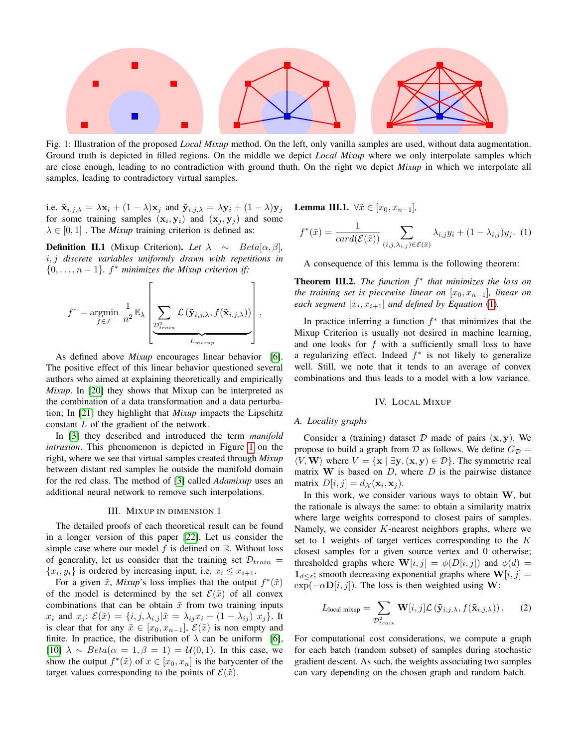

Fig. 1: Illustration of the proposed *Local Mixup* method. On the left, only vanilla samples are used, without data augmentation. Ground truth is depicted in filled regions. On the middle we depict *Local Mixup* where we only interpolate samples which are close enough, leading to no contradiction with ground thuth. On the right we depict *Mixup* in which we interpolate all samples, leading to contradictory virtual samples.

i.e.  $\tilde{\mathbf{x}}_{i,j,\lambda} = \lambda \mathbf{x}_i + (1 - \lambda)\mathbf{x}_j$  and  $\tilde{\mathbf{y}}_{i,j,\lambda} = \lambda \mathbf{y}_i + (1 - \lambda)\mathbf{y}_j$ for some training samples  $(\mathbf{x}_i, \mathbf{y}_i)$  and  $(\mathbf{x}_j, \mathbf{y}_j)$  and some  $\lambda \in [0, 1]$ . The *Mixup* training criterion is defined as:

**Definition II.1** (Mixup Criterion). Let  $\lambda \sim Beta[\alpha, \beta]$ , i, j *discrete variables uniformly drawn with repetitions in*  $\{0, \ldots, n-1\}$ .  $f^*$  minimizes the Mixup criterion if:

$$
f^* = \underset{f \in \mathcal{F}}{\operatorname{argmin}} \frac{1}{n^2} \mathbb{E}_{\lambda} \left[ \underbrace{\sum_{\mathcal{D}_{train}^2} \mathcal{L} \left( \tilde{\mathbf{y}}_{i,j,\lambda}, f(\tilde{\mathbf{x}}_{i,j,\lambda}) \right)}_{L_{mixup}} \right].
$$

As defined above *Mixup* encourages linear behavior [6]. The positive effect of this linear behavior questioned several authors who aimed at explaining theoretically and empirically *Mixup*. In [20] they shows that Mixup can be interpreted as the combination of a data transformation and a data perturbation; In [21] they highlight that *Mixup* impacts the Lipschitz constant L of the gradient of the network.

In [3] they described and introduced the term *manifold intrusion*. This phenomenon is depicted in Figure 1 on the right, where we see that virtual samples created through *Mixup* between distant red samples lie outside the manifold domain for the red class. The method of [3] called *Adamixup* uses an additional neural network to remove such interpolations.

#### III. MIXUP IN DIMENSION 1

The detailed proofs of each theoretical result can be found in a longer version of this paper [22]. Let us consider the simple case where our model  $f$  is defined on  $\mathbb{R}$ . Without loss of generality, let us consider that the training set  $\mathcal{D}_{train} =$  $\{x_i, y_i\}$  is ordered by increasing input, i.e,  $x_i \leq x_{i+1}$ .

For a given  $\tilde{x}$ , *Mixup*'s loss implies that the output  $f^*(\tilde{x})$ of the model is determined by the set  $\mathcal{E}(\tilde{x})$  of all convex combinations that can be obtain  $\tilde{x}$  from two training inputs  $x_i$  and  $x_j$ :  $\mathcal{E}(\tilde{x}) = \{i, j, \lambda_{i,j} | \tilde{x} = \lambda_{ij} x_i + (1 - \lambda_{ij}) x_j \}$ . It is clear that for any  $\tilde{x} \in [x_0, x_{n-1}], \mathcal{E}(\tilde{x})$  is non empty and finite. In practice, the distribution of  $\lambda$  can be uniform [6], [10]  $\lambda \sim Beta(\alpha = 1, \beta = 1) = \mathcal{U}(0, 1)$ . In this case, we show the output  $f^*(\tilde{x})$  of  $x \in [x_0, x_n]$  is the barycenter of the target values corresponding to the points of  $\mathcal{E}(\tilde{x})$ .

**Lemma III.1.** ∀ $\tilde{x}$  ∈  $[x_0, x_{n-1}]$ *,* 

$$
f^*(\tilde{x}) = \frac{1}{card(\mathcal{E}(\tilde{x}))} \sum_{(i,j,\lambda_{i,j}) \in \mathcal{E}(\tilde{x})} \lambda_{i,j} y_i + (1 - \lambda_{i,j}) y_j.
$$
 (1)

A consequence of this lemma is the following theorem:

Theorem III.2. *The function* f ∗ *that minimizes the loss on the training set is piecewise linear on*  $[x_0, x_{n-1}]$ *, linear on each segment*  $[x_i, x_{i+1}]$  *and defined by Equation* (1)*.* 

In practice inferring a function  $f^*$  that minimizes that the Mixup Criterion is usually not desired in machine learning, and one looks for  $f$  with a sufficiently small loss to have a regularizing effect. Indeed  $f^*$  is not likely to generalize well. Still, we note that it tends to an average of convex combinations and thus leads to a model with a low variance.

#### IV. LOCAL MIXUP

# *A. Locality graphs*

Consider a (training) dataset  $D$  made of pairs  $(x, y)$ . We propose to build a graph from D as follows. We define  $G_{\mathcal{D}} =$  $\langle V, \mathbf{W} \rangle$  where  $V = \{ \mathbf{x} \mid \exists \mathbf{y}, (\mathbf{x}, \mathbf{y}) \in \mathcal{D} \}$ . The symmetric real matrix  $W$  is based on  $D$ , where  $D$  is the pairwise distance matrix  $D[i, j] = d_{\mathcal{X}}(\mathbf{x}_i, \mathbf{x}_j)$ .

In this work, we consider various ways to obtain  $W$ , but the rationale is always the same: to obtain a similarity matrix where large weights correspond to closest pairs of samples. Namely, we consider  $K$ -nearest neighbors graphs, where we set to 1 weights of target vertices corresponding to the K closest samples for a given source vertex and 0 otherwise; thresholded graphs where  $\mathbf{W}[i, j] = \phi(D[i, j])$  and  $\phi(d) =$  $\mathbf{1}_{d\leq \varepsilon}$ ; smooth decreasing exponential graphs where  $\mathbf{W}[i, j] =$  $\exp(-\alpha \mathbf{D}[i, j])$ . The loss is then weighted using W:

$$
L_{\text{local mixup}} = \sum_{\mathcal{D}_{train}^2} \mathbf{W}[i, j] \mathcal{L}(\mathbf{\tilde{y}}_{i,j,\lambda}, f(\mathbf{\tilde{x}}_{i,j,\lambda})).
$$
 (2)

For computational cost considerations, we compute a graph for each batch (random subset) of samples during stochastic gradient descent. As such, the weights associating two samples can vary depending on the chosen graph and random batch.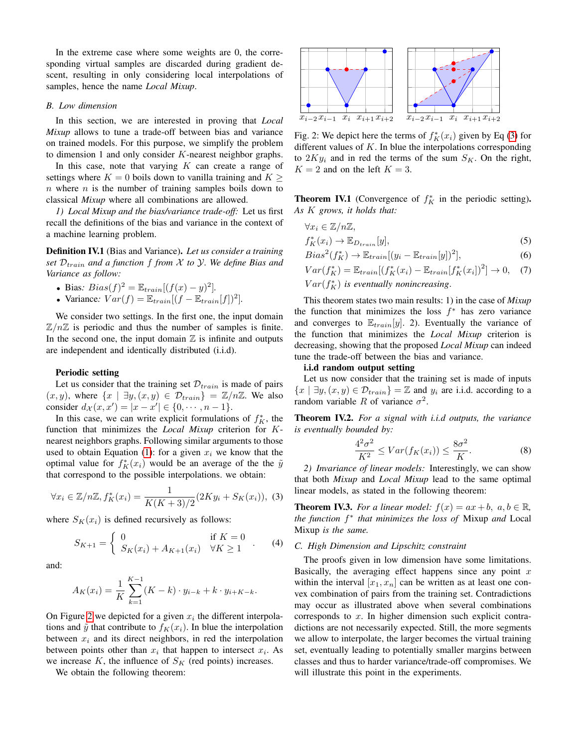In the extreme case where some weights are 0, the corresponding virtual samples are discarded during gradient descent, resulting in only considering local interpolations of samples, hence the name *Local Mixup*.

#### *B. Low dimension*

In this section, we are interested in proving that *Local Mixup* allows to tune a trade-off between bias and variance on trained models. For this purpose, we simplify the problem to dimension 1 and only consider K-nearest neighbor graphs.

In this case, note that varying  $K$  can create a range of settings where  $K = 0$  boils down to vanilla training and  $K >$  $n$  where  $n$  is the number of training samples boils down to classical *Mixup* where all combinations are allowed.

*1) Local Mixup and the bias/variance trade-off:* Let us first recall the definitions of the bias and variance in the context of a machine learning problem.

Definition IV.1 (Bias and Variance). *Let us consider a training set*  $\mathcal{D}_{train}$  *and a function f from X to Y. We define Bias and Variance as follow:*

• Bias: Bias
$$
(f)^2 = \mathbb{E}_{train}[(f(x) - y)^2]
$$
.

• Variance:  $Var(f) = \mathbb{E}_{train}[(f - \mathbb{E}_{train}[f])^2].$ 

We consider two settings. In the first one, the input domain  $\mathbb{Z}/n\mathbb{Z}$  is periodic and thus the number of samples is finite. In the second one, the input domain  $\mathbb Z$  is infinite and outputs are independent and identically distributed (i.i.d).

#### Periodic setting

Let us consider that the training set  $\mathcal{D}_{train}$  is made of pairs  $(x, y)$ , where  $\{x \mid \exists y, (x, y) \in \mathcal{D}_{train}\} = \mathbb{Z}/n\mathbb{Z}$ . We also consider  $d_{\mathcal{X}}(x, x') = |x - x'| \in \{0, \dots, n - 1\}.$ 

In this case, we can write explicit formulations of  $f_K^*$ , the function that minimizes the *Local Mixup* criterion for Knearest neighbors graphs. Following similar arguments to those used to obtain Equation (1): for a given  $x_i$  we know that the optimal value for  $f_K^*(x_i)$  would be an average of the the  $\tilde{y}$ that correspond to the possible interpolations. we obtain:

$$
\forall x_i \in \mathbb{Z}/n\mathbb{Z}, f_K^*(x_i) = \frac{1}{K(K+3)/2} (2Ky_i + S_K(x_i)), \quad (3)
$$

where  $S_K(x_i)$  is defined recursively as follows:

$$
S_{K+1} = \begin{cases} 0 & \text{if } K = 0 \\ S_K(x_i) + A_{K+1}(x_i) & \forall K \ge 1 \end{cases} . \tag{4}
$$

and:

$$
A_K(x_i) = \frac{1}{K} \sum_{k=1}^{K-1} (K - k) \cdot y_{i-k} + k \cdot y_{i+K-k}.
$$

On Figure 2 we depicted for a given  $x_i$  the different interpolations and  $\tilde{y}$  that contribute to  $f_K(x_i)$ . In blue the interpolation between  $x_i$  and its direct neighbors, in red the interpolation between points other than  $x_i$  that happen to intersect  $x_i$ . As we increase  $K$ , the influence of  $S_K$  (red points) increases.

We obtain the following theorem:



Fig. 2: We depict here the terms of  $f_K^*(x_i)$  given by Eq (3) for different values of  $K$ . In blue the interpolations corresponding to  $2Ky_i$  and in red the terms of the sum  $S_K$ . On the right,  $K = 2$  and on the left  $K = 3$ .

**Theorem IV.1** (Convergence of  $f_K^*$  in the periodic setting). *As* K *grows, it holds that:*

$$
\forall x_i \in \mathbb{Z}/n\mathbb{Z},
$$
  

$$
f_K^*(x_i) \to \mathbb{E}_{D_{train}}[y],
$$
 (5)

$$
Bias^{2}(f_{K}^{*}) \to \mathbb{E}_{train}[(y_{i} - \mathbb{E}_{train}[y])^{2}], \tag{6}
$$

$$
Var(f_K^*) = \mathbb{E}_{train}[(f_K^*(x_i) - \mathbb{E}_{train}[f_K^*(x_i])^2] \to 0,
$$
 (7)

 $Var(f_K^*)$  is eventually nonincreasing.

This theorem states two main results: 1) in the case of *Mixup* the function that minimizes the loss  $f^*$  has zero variance and converges to  $\mathbb{E}_{train}[y]$ . 2). Eventually the variance of the function that minimizes the *Local Mixup* criterion is decreasing, showing that the proposed *Local Mixup* can indeed tune the trade-off between the bias and variance.

### i.i.d random output setting

Let us now consider that the training set is made of inputs  $\{x \mid \exists y, (x, y) \in \mathcal{D}_{train}\} = \mathbb{Z}$  and  $y_i$  are i.i.d. according to a random variable R of variance  $\sigma^2$ .

Theorem IV.2. *For a signal with i.i.d outputs, the variance is eventually bounded by:*

$$
\frac{4^2\sigma^2}{K^2} \leq Var(f_K(x_i)) \leq \frac{8\sigma^2}{K}.\tag{8}
$$

*2) Invariance of linear models:* Interestingly, we can show that both *Mixup* and *Local Mixup* lead to the same optimal linear models, as stated in the following theorem:

**Theorem IV.3.** *For a linear model:*  $f(x) = ax + b$ ,  $a, b \in \mathbb{R}$ , *the function* f ∗ *that minimizes the loss of* Mixup *and* Local Mixup *is the same.*

# *C. High Dimension and Lipschitz constraint*

The proofs given in low dimension have some limitations. Basically, the averaging effect happens since any point  $x$ within the interval  $[x_1, x_n]$  can be written as at least one convex combination of pairs from the training set. Contradictions may occur as illustrated above when several combinations corresponds to  $x$ . In higher dimension such explicit contradictions are not necessarily expected. Still, the more segments we allow to interpolate, the larger becomes the virtual training set, eventually leading to potentially smaller margins between classes and thus to harder variance/trade-off compromises. We will illustrate this point in the experiments.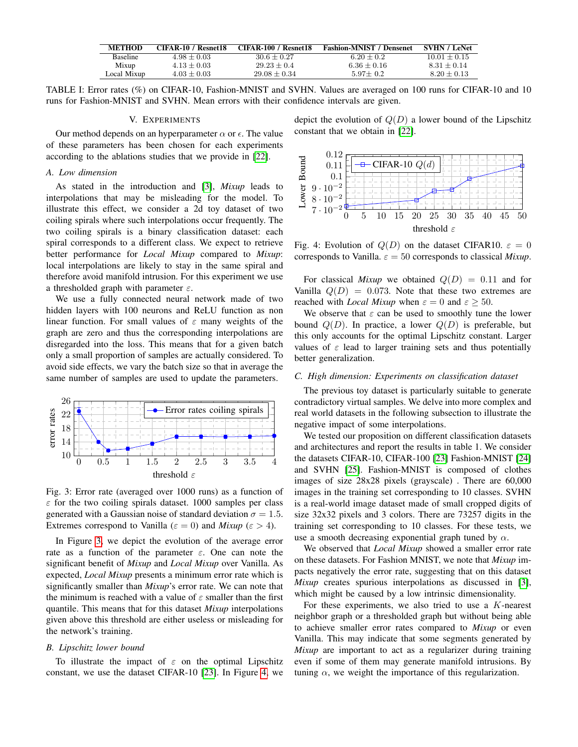| <b>METHOD</b>   | CIFAR-10 / Resnet18 | CIFAR-100 / Resnet18 | <b>Fashion-MNIST / Densenet</b> | <b>SVHN</b> / LeNet |
|-----------------|---------------------|----------------------|---------------------------------|---------------------|
| <b>Baseline</b> | $4.98 + 0.03$       | $30.6 + 0.27$        | $6.20 + 0.2$                    | $10.01 + 0.15$      |
| Mixup           | $4.13 + 0.03$       | $29.23 + 0.4$        | $6.36 + 0.16$                   | $8.31 + 0.14$       |
| Local Mixup     | $4.03 + 0.03$       | $29.08 + 0.34$       | $5.97 + 0.2$                    | $8.20 + 0.13$       |

TABLE I: Error rates (%) on CIFAR-10, Fashion-MNIST and SVHN. Values are averaged on 100 runs for CIFAR-10 and 10 runs for Fashion-MNIST and SVHN. Mean errors with their confidence intervals are given.

# V. EXPERIMENTS

Our method depends on an hyperparameter  $\alpha$  or  $\epsilon$ . The value of these parameters has been chosen for each experiments according to the ablations studies that we provide in [22].

# *A. Low dimension*

As stated in the introduction and [3], *Mixup* leads to interpolations that may be misleading for the model. To illustrate this effect, we consider a 2d toy dataset of two coiling spirals where such interpolations occur frequently. The two coiling spirals is a binary classification dataset: each spiral corresponds to a different class. We expect to retrieve better performance for *Local Mixup* compared to *Mixup*: local interpolations are likely to stay in the same spiral and therefore avoid manifold intrusion. For this experiment we use a thresholded graph with parameter  $\varepsilon$ .

We use a fully connected neural network made of two hidden layers with 100 neurons and ReLU function as non linear function. For small values of  $\varepsilon$  many weights of the graph are zero and thus the corresponding interpolations are disregarded into the loss. This means that for a given batch only a small proportion of samples are actually considered. To avoid side effects, we vary the batch size so that in average the same number of samples are used to update the parameters.



Fig. 3: Error rate (averaged over 1000 runs) as a function of  $\varepsilon$  for the two coiling spirals dataset. 1000 samples per class generated with a Gaussian noise of standard deviation  $\sigma = 1.5$ . Extremes correspond to Vanilla ( $\varepsilon = 0$ ) and *Mixup* ( $\varepsilon > 4$ ).

In Figure 3, we depict the evolution of the average error rate as a function of the parameter  $\varepsilon$ . One can note the significant benefit of *Mixup* and *Local Mixup* over Vanilla. As expected, *Local Mixup* presents a minimum error rate which is significantly smaller than *Mixup*'s error rate. We can note that the minimum is reached with a value of  $\varepsilon$  smaller than the first quantile. This means that for this dataset *Mixup* interpolations given above this threshold are either useless or misleading for the network's training.

# *B. Lipschitz lower bound*

To illustrate the impact of  $\varepsilon$  on the optimal Lipschitz constant, we use the dataset CIFAR-10 [23]. In Figure 4, we depict the evolution of  $Q(D)$  a lower bound of the Lipschitz constant that we obtain in [22].



Fig. 4: Evolution of  $Q(D)$  on the dataset CIFAR10.  $\varepsilon = 0$ corresponds to Vanilla.  $\varepsilon = 50$  corresponds to classical *Mixup*.

For classical *Mixup* we obtained  $Q(D) = 0.11$  and for Vanilla  $Q(D) = 0.073$ . Note that these two extremes are reached with *Local Mixup* when  $\varepsilon = 0$  and  $\varepsilon > 50$ .

We observe that  $\varepsilon$  can be used to smoothly tune the lower bound  $Q(D)$ . In practice, a lower  $Q(D)$  is preferable, but this only accounts for the optimal Lipschitz constant. Larger values of  $\varepsilon$  lead to larger training sets and thus potentially better generalization.

# *C. High dimension: Experiments on classification dataset*

The previous toy dataset is particularly suitable to generate contradictory virtual samples. We delve into more complex and real world datasets in the following subsection to illustrate the negative impact of some interpolations.

We tested our proposition on different classification datasets and architectures and report the results in table 1. We consider the datasets CIFAR-10, CIFAR-100 [23] Fashion-MNIST [24] and SVHN [25]. Fashion-MNIST is composed of clothes images of size 28x28 pixels (grayscale) . There are 60,000 images in the training set corresponding to 10 classes. SVHN is a real-world image dataset made of small cropped digits of size 32x32 pixels and 3 colors. There are 73257 digits in the training set corresponding to 10 classes. For these tests, we use a smooth decreasing exponential graph tuned by  $\alpha$ .

We observed that *Local Mixup* showed a smaller error rate on these datasets. For Fashion MNIST, we note that *Mixup* impacts negatively the error rate, suggesting that on this dataset *Mixup* creates spurious interpolations as discussed in [3], which might be caused by a low intrinsic dimensionality.

For these experiments, we also tried to use a K-nearest neighbor graph or a thresholded graph but without being able to achieve smaller error rates compared to *Mixup* or even Vanilla. This may indicate that some segments generated by *Mixup* are important to act as a regularizer during training even if some of them may generate manifold intrusions. By tuning  $\alpha$ , we weight the importance of this regularization.